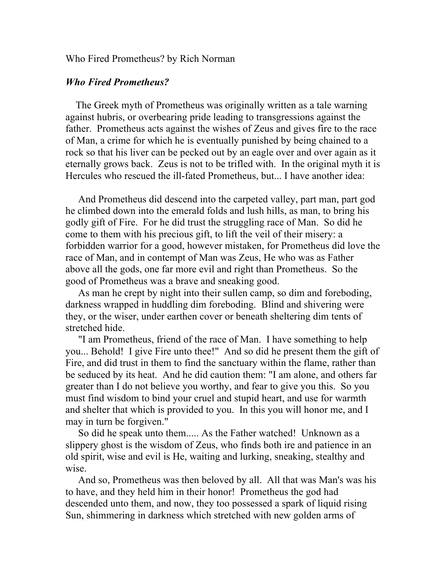Who Fired Prometheus? by Rich Norman

## *Who Fired Prometheus?*

 The Greek myth of Prometheus was originally written as a tale warning against hubris, or overbearing pride leading to transgressions against the father. Prometheus acts against the wishes of Zeus and gives fire to the race of Man, a crime for which he is eventually punished by being chained to a rock so that his liver can be pecked out by an eagle over and over again as it eternally grows back. Zeus is not to be trifled with. In the original myth it is Hercules who rescued the ill-fated Prometheus, but... I have another idea:

 And Prometheus did descend into the carpeted valley, part man, part god he climbed down into the emerald folds and lush hills, as man, to bring his godly gift of Fire. For he did trust the struggling race of Man. So did he come to them with his precious gift, to lift the veil of their misery: a forbidden warrior for a good, however mistaken, for Prometheus did love the race of Man, and in contempt of Man was Zeus, He who was as Father above all the gods, one far more evil and right than Prometheus. So the good of Prometheus was a brave and sneaking good.

 As man he crept by night into their sullen camp, so dim and foreboding, darkness wrapped in huddling dim foreboding. Blind and shivering were they, or the wiser, under earthen cover or beneath sheltering dim tents of stretched hide.

 "I am Prometheus, friend of the race of Man. I have something to help you... Behold! I give Fire unto thee!" And so did he present them the gift of Fire, and did trust in them to find the sanctuary within the flame, rather than be seduced by its heat. And he did caution them: "I am alone, and others far greater than I do not believe you worthy, and fear to give you this. So you must find wisdom to bind your cruel and stupid heart, and use for warmth and shelter that which is provided to you. In this you will honor me, and I may in turn be forgiven."

 So did he speak unto them..... As the Father watched! Unknown as a slippery ghost is the wisdom of Zeus, who finds both ire and patience in an old spirit, wise and evil is He, waiting and lurking, sneaking, stealthy and wise.

 And so, Prometheus was then beloved by all. All that was Man's was his to have, and they held him in their honor! Prometheus the god had descended unto them, and now, they too possessed a spark of liquid rising Sun, shimmering in darkness which stretched with new golden arms of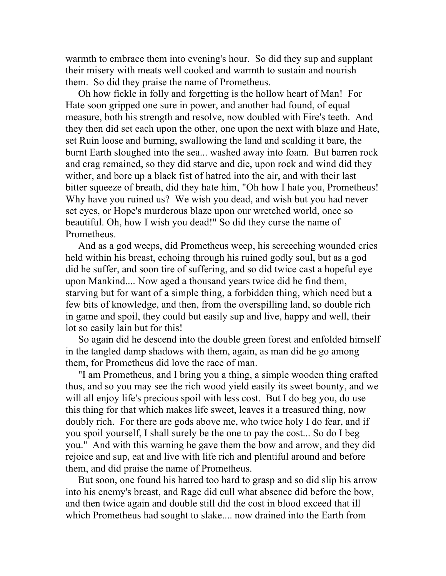warmth to embrace them into evening's hour. So did they sup and supplant their misery with meats well cooked and warmth to sustain and nourish them. So did they praise the name of Prometheus.

 Oh how fickle in folly and forgetting is the hollow heart of Man! For Hate soon gripped one sure in power, and another had found, of equal measure, both his strength and resolve, now doubled with Fire's teeth. And they then did set each upon the other, one upon the next with blaze and Hate, set Ruin loose and burning, swallowing the land and scalding it bare, the burnt Earth sloughed into the sea... washed away into foam. But barren rock and crag remained, so they did starve and die, upon rock and wind did they wither, and bore up a black fist of hatred into the air, and with their last bitter squeeze of breath, did they hate him, "Oh how I hate you, Prometheus! Why have you ruined us? We wish you dead, and wish but you had never set eyes, or Hope's murderous blaze upon our wretched world, once so beautiful. Oh, how I wish you dead!" So did they curse the name of Prometheus.

 And as a god weeps, did Prometheus weep, his screeching wounded cries held within his breast, echoing through his ruined godly soul, but as a god did he suffer, and soon tire of suffering, and so did twice cast a hopeful eye upon Mankind.... Now aged a thousand years twice did he find them, starving but for want of a simple thing, a forbidden thing, which need but a few bits of knowledge, and then, from the overspilling land, so double rich in game and spoil, they could but easily sup and live, happy and well, their lot so easily lain but for this!

 So again did he descend into the double green forest and enfolded himself in the tangled damp shadows with them, again, as man did he go among them, for Prometheus did love the race of man.

 "I am Prometheus, and I bring you a thing, a simple wooden thing crafted thus, and so you may see the rich wood yield easily its sweet bounty, and we will all enjoy life's precious spoil with less cost. But I do beg you, do use this thing for that which makes life sweet, leaves it a treasured thing, now doubly rich. For there are gods above me, who twice holy I do fear, and if you spoil yourself, I shall surely be the one to pay the cost... So do I beg you." And with this warning he gave them the bow and arrow, and they did rejoice and sup, eat and live with life rich and plentiful around and before them, and did praise the name of Prometheus.

 But soon, one found his hatred too hard to grasp and so did slip his arrow into his enemy's breast, and Rage did cull what absence did before the bow, and then twice again and double still did the cost in blood exceed that ill which Prometheus had sought to slake.... now drained into the Earth from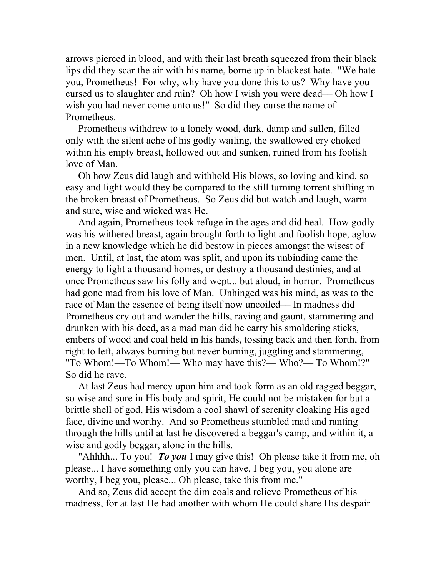arrows pierced in blood, and with their last breath squeezed from their black lips did they scar the air with his name, borne up in blackest hate. "We hate you, Prometheus! For why, why have you done this to us? Why have you cursed us to slaughter and ruin? Oh how I wish you were dead–– Oh how I wish you had never come unto us!" So did they curse the name of Prometheus.

 Prometheus withdrew to a lonely wood, dark, damp and sullen, filled only with the silent ache of his godly wailing, the swallowed cry choked within his empty breast, hollowed out and sunken, ruined from his foolish love of Man.

 Oh how Zeus did laugh and withhold His blows, so loving and kind, so easy and light would they be compared to the still turning torrent shifting in the broken breast of Prometheus. So Zeus did but watch and laugh, warm and sure, wise and wicked was He.

 And again, Prometheus took refuge in the ages and did heal. How godly was his withered breast, again brought forth to light and foolish hope, aglow in a new knowledge which he did bestow in pieces amongst the wisest of men. Until, at last, the atom was split, and upon its unbinding came the energy to light a thousand homes, or destroy a thousand destinies, and at once Prometheus saw his folly and wept... but aloud, in horror. Prometheus had gone mad from his love of Man. Unhinged was his mind, as was to the race of Man the essence of being itself now uncoiled–– In madness did Prometheus cry out and wander the hills, raving and gaunt, stammering and drunken with his deed, as a mad man did he carry his smoldering sticks, embers of wood and coal held in his hands, tossing back and then forth, from right to left, always burning but never burning, juggling and stammering, "To Whom!—To Whom!— Who may have this?— Who?— To Whom!?" So did he rave.

 At last Zeus had mercy upon him and took form as an old ragged beggar, so wise and sure in His body and spirit, He could not be mistaken for but a brittle shell of god, His wisdom a cool shawl of serenity cloaking His aged face, divine and worthy. And so Prometheus stumbled mad and ranting through the hills until at last he discovered a beggar's camp, and within it, a wise and godly beggar, alone in the hills.

 "Ahhhh... To you! *To you* I may give this! Oh please take it from me, oh please... I have something only you can have, I beg you, you alone are worthy, I beg you, please... Oh please, take this from me."

 And so, Zeus did accept the dim coals and relieve Prometheus of his madness, for at last He had another with whom He could share His despair